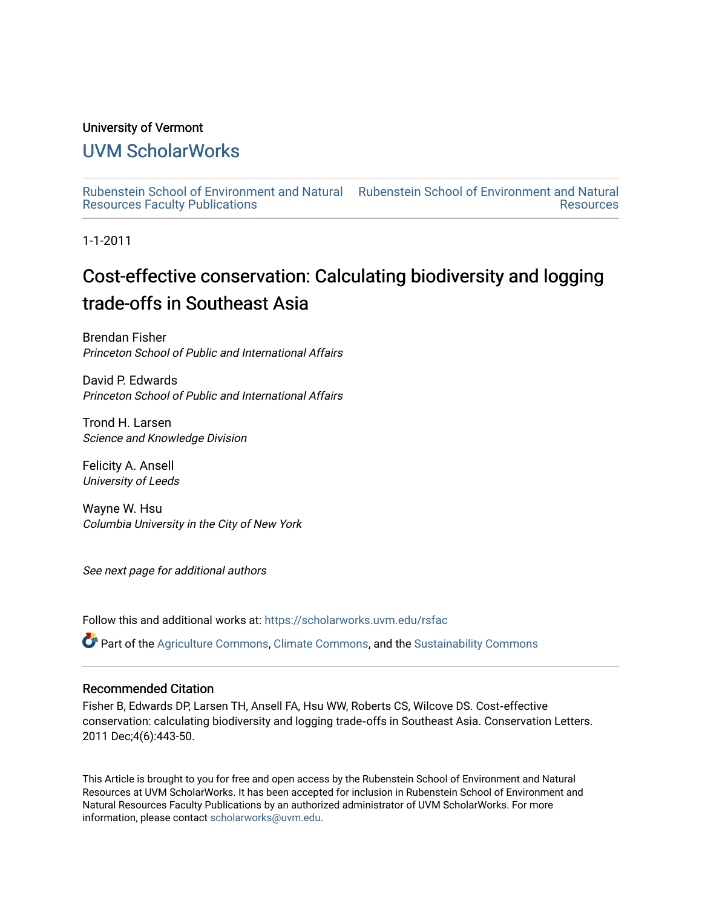### University of Vermont

## [UVM ScholarWorks](https://scholarworks.uvm.edu/)

[Rubenstein School of Environment and Natural](https://scholarworks.uvm.edu/rsfac) [Rubenstein School of Environment and Natural](https://scholarworks.uvm.edu/rs)  [Resources Faculty Publications](https://scholarworks.uvm.edu/rsfac)  **Resources** 

1-1-2011

# Cost-effective conservation: Calculating biodiversity and logging trade-offs in Southeast Asia

Brendan Fisher Princeton School of Public and International Affairs

David P. Edwards Princeton School of Public and International Affairs

Trond H. Larsen Science and Knowledge Division

Felicity A. Ansell University of Leeds

Wayne W. Hsu Columbia University in the City of New York

See next page for additional authors

Follow this and additional works at: [https://scholarworks.uvm.edu/rsfac](https://scholarworks.uvm.edu/rsfac?utm_source=scholarworks.uvm.edu%2Frsfac%2F67&utm_medium=PDF&utm_campaign=PDFCoverPages) 

Part of the [Agriculture Commons](http://network.bepress.com/hgg/discipline/1076?utm_source=scholarworks.uvm.edu%2Frsfac%2F67&utm_medium=PDF&utm_campaign=PDFCoverPages), [Climate Commons](http://network.bepress.com/hgg/discipline/188?utm_source=scholarworks.uvm.edu%2Frsfac%2F67&utm_medium=PDF&utm_campaign=PDFCoverPages), and the [Sustainability Commons](http://network.bepress.com/hgg/discipline/1031?utm_source=scholarworks.uvm.edu%2Frsfac%2F67&utm_medium=PDF&utm_campaign=PDFCoverPages) 

### Recommended Citation

Fisher B, Edwards DP, Larsen TH, Ansell FA, Hsu WW, Roberts CS, Wilcove DS. Cost‐effective conservation: calculating biodiversity and logging trade‐offs in Southeast Asia. Conservation Letters. 2011 Dec;4(6):443-50.

This Article is brought to you for free and open access by the Rubenstein School of Environment and Natural Resources at UVM ScholarWorks. It has been accepted for inclusion in Rubenstein School of Environment and Natural Resources Faculty Publications by an authorized administrator of UVM ScholarWorks. For more information, please contact [scholarworks@uvm.edu.](mailto:scholarworks@uvm.edu)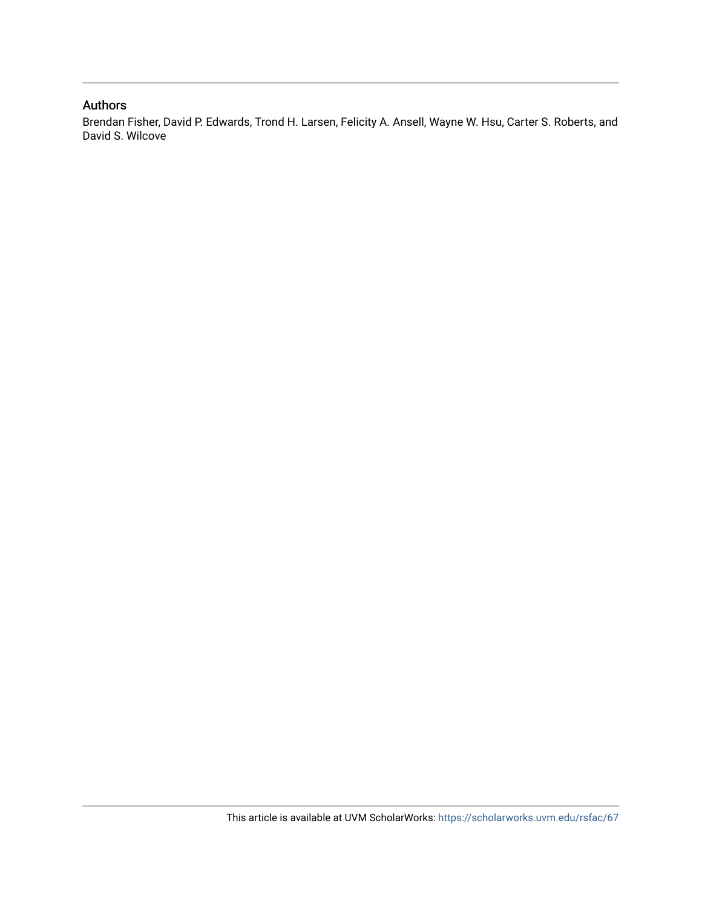### Authors

Brendan Fisher, David P. Edwards, Trond H. Larsen, Felicity A. Ansell, Wayne W. Hsu, Carter S. Roberts, and David S. Wilcove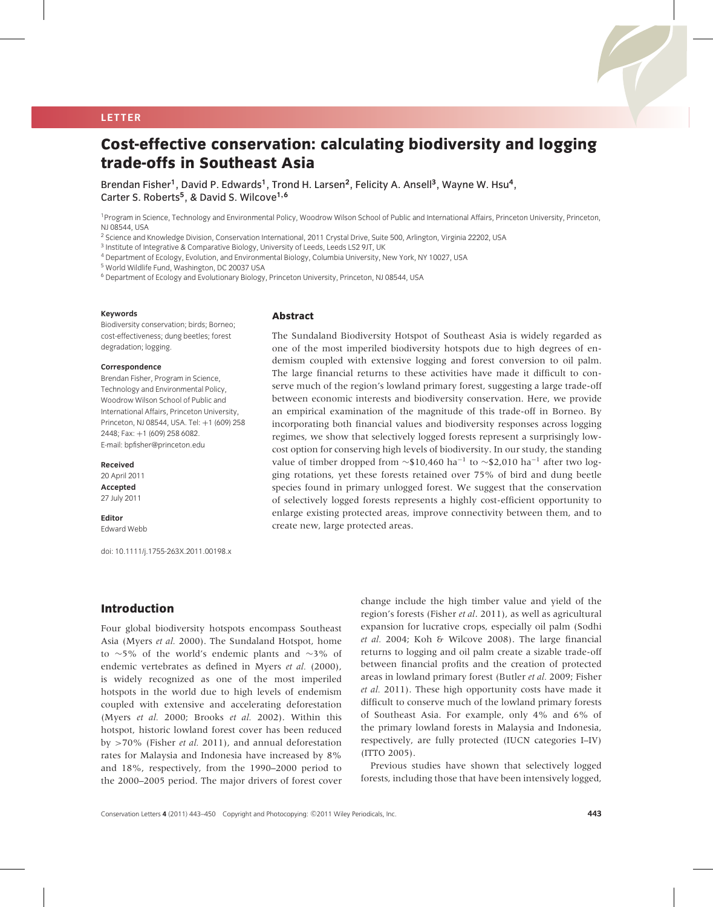### **LETTER**

# **Cost-effective conservation: calculating biodiversity and logging trade-offs in Southeast Asia**

Brendan Fisher**<sup>1</sup>**, David P. Edwards**<sup>1</sup>**, Trond H. Larsen**<sup>2</sup>**, Felicity A. Ansell**<sup>3</sup>**, Wayne W. Hsu**<sup>4</sup>**, Carter S. Roberts**<sup>5</sup>**, & David S. Wilcove**<sup>1</sup>***,***<sup>6</sup>**

1Program in Science, Technology and Environmental Policy, Woodrow Wilson School of Public and International Affairs, Princeton University, Princeton, NJ 08544, USA

<sup>2</sup> Science and Knowledge Division, Conservation International, 2011 Crystal Drive, Suite 500, Arlington, Virginia 22202, USA

<sup>3</sup> Institute of Integrative & Comparative Biology, University of Leeds, Leeds LS2 9JT, UK

<sup>4</sup> Department of Ecology, Evolution, and Environmental Biology, Columbia University, New York, NY 10027, USA

<sup>5</sup> World Wildlife Fund, Washington, DC 20037 USA

<sup>6</sup> Department of Ecology and Evolutionary Biology, Princeton University, Princeton, NJ 08544, USA

#### **Keywords**

Biodiversity conservation; birds; Borneo; cost-effectiveness; dung beetles; forest degradation; logging.

#### **Correspondence**

Brendan Fisher, Program in Science, Technology and Environmental Policy, Woodrow Wilson School of Public and International Affairs, Princeton University, Princeton, NJ 08544, USA. Tel: +1 (609) 258 2448; Fax: +1 (609) 258 6082. E-mail: bpfisher@princeton.edu

#### **Received**

20 April 2011 **Accepted** 27 July 2011

### **Editor**

Edward Webb

doi: 10.1111/j.1755-263X.2011.00198.x

#### **Abstract**

The Sundaland Biodiversity Hotspot of Southeast Asia is widely regarded as one of the most imperiled biodiversity hotspots due to high degrees of endemism coupled with extensive logging and forest conversion to oil palm. The large financial returns to these activities have made it difficult to conserve much of the region's lowland primary forest, suggesting a large trade-off between economic interests and biodiversity conservation. Here, we provide an empirical examination of the magnitude of this trade-off in Borneo. By incorporating both financial values and biodiversity responses across logging regimes, we show that selectively logged forests represent a surprisingly lowcost option for conserving high levels of biodiversity. In our study, the standing value of timber dropped from  $\sim$ \$10,460 ha<sup>-1</sup> to  $\sim$ \$2,010 ha<sup>-1</sup> after two logging rotations, yet these forests retained over 75% of bird and dung beetle species found in primary unlogged forest. We suggest that the conservation of selectively logged forests represents a highly cost-efficient opportunity to enlarge existing protected areas, improve connectivity between them, and to create new, large protected areas.

### **Introduction**

Four global biodiversity hotspots encompass Southeast Asia (Myers *et al.* 2000). The Sundaland Hotspot, home to ∼5% of the world's endemic plants and ∼3% of endemic vertebrates as defined in Myers *et al.* (2000), is widely recognized as one of the most imperiled hotspots in the world due to high levels of endemism coupled with extensive and accelerating deforestation (Myers *et al.* 2000; Brooks *et al.* 2002). Within this hotspot, historic lowland forest cover has been reduced by >70% (Fisher *et al.* 2011), and annual deforestation rates for Malaysia and Indonesia have increased by 8% and 18%, respectively, from the 1990–2000 period to the 2000–2005 period. The major drivers of forest cover change include the high timber value and yield of the region's forests (Fisher *et al*. 2011), as well as agricultural expansion for lucrative crops, especially oil palm (Sodhi *et al.* 2004; Koh & Wilcove 2008). The large financial returns to logging and oil palm create a sizable trade-off between financial profits and the creation of protected areas in lowland primary forest (Butler *et al.* 2009; Fisher *et al.* 2011). These high opportunity costs have made it difficult to conserve much of the lowland primary forests of Southeast Asia. For example, only 4% and 6% of the primary lowland forests in Malaysia and Indonesia, respectively, are fully protected (IUCN categories I–IV) (ITTO 2005).

Previous studies have shown that selectively logged forests, including those that have been intensively logged,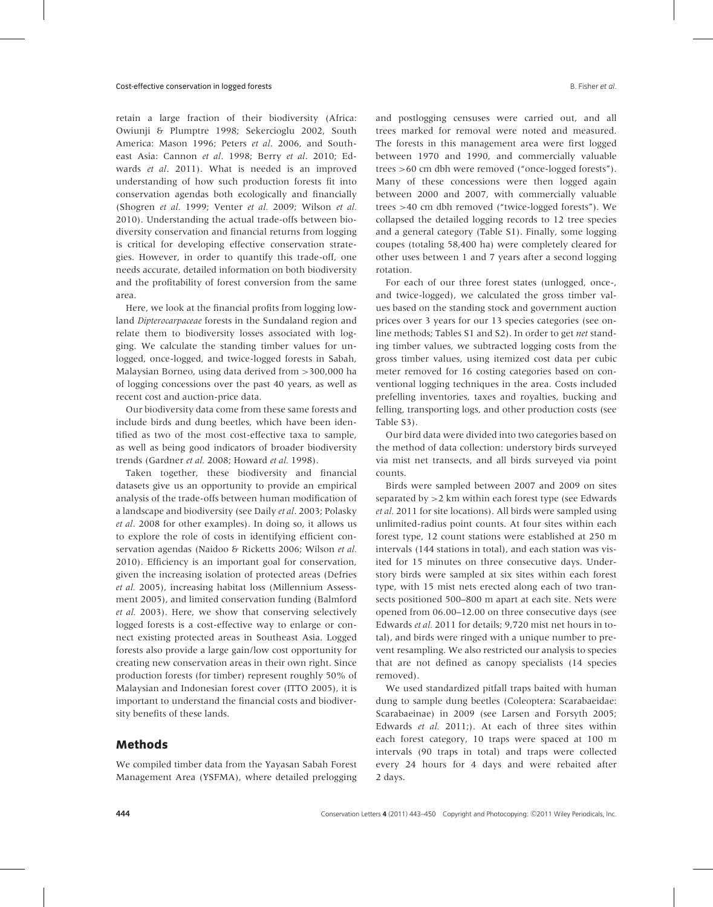retain a large fraction of their biodiversity (Africa: Owiunji & Plumptre 1998; Sekercioglu 2002, South America: Mason 1996; Peters *et al*. 2006, and Southeast Asia: Cannon *et al*. 1998; Berry *et al*. 2010; Edwards *et al*. 2011). What is needed is an improved understanding of how such production forests fit into conservation agendas both ecologically and financially (Shogren *et al.* 1999; Venter *et al.* 2009; Wilson *et al.* 2010). Understanding the actual trade-offs between biodiversity conservation and financial returns from logging is critical for developing effective conservation strategies. However, in order to quantify this trade-off, one needs accurate, detailed information on both biodiversity and the profitability of forest conversion from the same area.

Here, we look at the financial profits from logging lowland *Dipterocarpaceae* forests in the Sundaland region and relate them to biodiversity losses associated with logging. We calculate the standing timber values for unlogged, once-logged, and twice-logged forests in Sabah, Malaysian Borneo, using data derived from >300,000 ha of logging concessions over the past 40 years, as well as recent cost and auction-price data.

Our biodiversity data come from these same forests and include birds and dung beetles, which have been identified as two of the most cost-effective taxa to sample, as well as being good indicators of broader biodiversity trends (Gardner *et al.* 2008; Howard *et al.* 1998).

Taken together, these biodiversity and financial datasets give us an opportunity to provide an empirical analysis of the trade-offs between human modification of a landscape and biodiversity (see Daily *et al*. 2003; Polasky *et al*. 2008 for other examples). In doing so, it allows us to explore the role of costs in identifying efficient conservation agendas (Naidoo & Ricketts 2006; Wilson *et al.* 2010). Efficiency is an important goal for conservation, given the increasing isolation of protected areas (Defries *et al.* 2005), increasing habitat loss (Millennium Assessment 2005), and limited conservation funding (Balmford *et al.* 2003). Here, we show that conserving selectively logged forests is a cost-effective way to enlarge or connect existing protected areas in Southeast Asia. Logged forests also provide a large gain/low cost opportunity for creating new conservation areas in their own right. Since production forests (for timber) represent roughly 50% of Malaysian and Indonesian forest cover (ITTO 2005), it is important to understand the financial costs and biodiversity benefits of these lands.

#### **Methods**

We compiled timber data from the Yayasan Sabah Forest Management Area (YSFMA), where detailed prelogging and postlogging censuses were carried out, and all trees marked for removal were noted and measured. The forests in this management area were first logged between 1970 and 1990, and commercially valuable trees >60 cm dbh were removed ("once-logged forests"). Many of these concessions were then logged again between 2000 and 2007, with commercially valuable trees >40 cm dbh removed ("twice-logged forests"). We collapsed the detailed logging records to 12 tree species and a general category (Table S1). Finally, some logging coupes (totaling 58,400 ha) were completely cleared for other uses between 1 and 7 years after a second logging rotation.

For each of our three forest states (unlogged, once-, and twice-logged), we calculated the gross timber values based on the standing stock and government auction prices over 3 years for our 13 species categories (see online methods; Tables S1 and S2). In order to get *net* standing timber values, we subtracted logging costs from the gross timber values, using itemized cost data per cubic meter removed for 16 costing categories based on conventional logging techniques in the area. Costs included prefelling inventories, taxes and royalties, bucking and felling, transporting logs, and other production costs (see Table S3).

Our bird data were divided into two categories based on the method of data collection: understory birds surveyed via mist net transects, and all birds surveyed via point counts.

Birds were sampled between 2007 and 2009 on sites separated by >2 km within each forest type (see Edwards *et al.* 2011 for site locations). All birds were sampled using unlimited-radius point counts. At four sites within each forest type, 12 count stations were established at 250 m intervals (144 stations in total), and each station was visited for 15 minutes on three consecutive days. Understory birds were sampled at six sites within each forest type, with 15 mist nets erected along each of two transects positioned 500–800 m apart at each site. Nets were opened from 06.00–12.00 on three consecutive days (see Edwards *et al.* 2011 for details; 9,720 mist net hours in total), and birds were ringed with a unique number to prevent resampling. We also restricted our analysis to species that are not defined as canopy specialists (14 species removed).

We used standardized pitfall traps baited with human dung to sample dung beetles (Coleoptera: Scarabaeidae: Scarabaeinae) in 2009 (see Larsen and Forsyth 2005; Edwards *et al.* 2011;). At each of three sites within each forest category, 10 traps were spaced at 100 m intervals (90 traps in total) and traps were collected every 24 hours for 4 days and were rebaited after 2 days.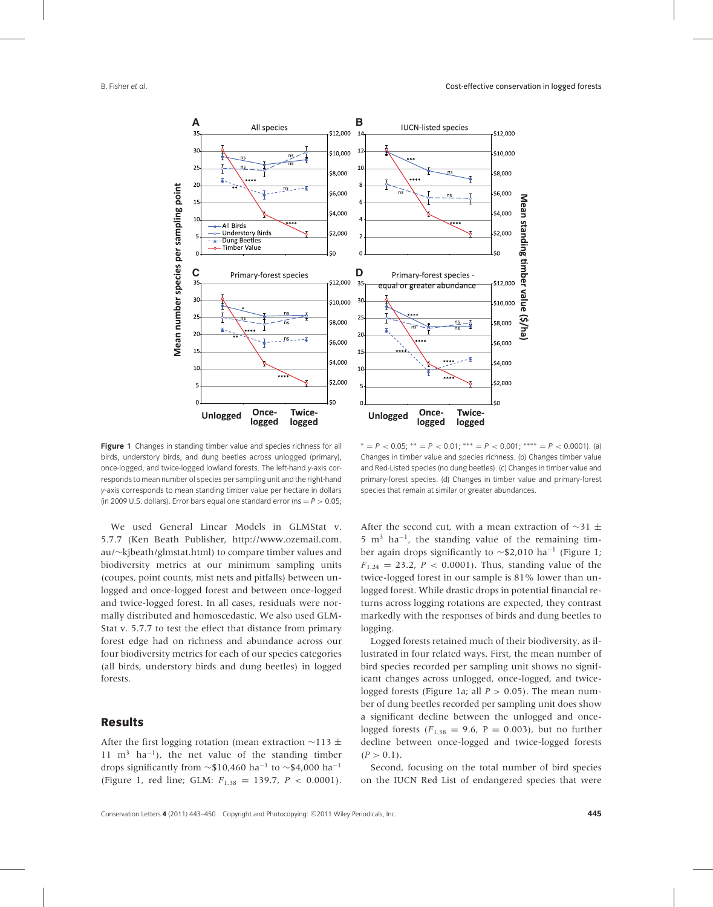

**Figure 1** Changes in standing timber value and species richness for all birds, understory birds, and dung beetles across unlogged (primary), once-logged, and twice-logged lowland forests. The left-hand *y*-axis corresponds to mean number of species per sampling unit and the right-hand *y*-axis corresponds to mean standing timber value per hectare in dollars (in 2009 U.S. dollars). Error bars equal one standard error (ns =  $P > 0.05$ ;

We used General Linear Models in GLMStat v. 5.7.7 (Ken Beath Publisher, http://www.ozemail.com. au/∼kjbeath/glmstat.html) to compare timber values and biodiversity metrics at our minimum sampling units (coupes, point counts, mist nets and pitfalls) between unlogged and once-logged forest and between once-logged and twice-logged forest. In all cases, residuals were normally distributed and homoscedastic. We also used GLM-Stat v. 5.7.7 to test the effect that distance from primary forest edge had on richness and abundance across our four biodiversity metrics for each of our species categories (all birds, understory birds and dung beetles) in logged forests.

#### **Results**

After the first logging rotation (mean extraction ∼113 ± 11 m<sup>3</sup> ha<sup>-1</sup>), the net value of the standing timber drops significantly from ∼\$10,460 ha−<sup>1</sup> to ∼\$4,000 ha−<sup>1</sup> (Figure 1, red line; GLM: *F*1,<sup>38</sup> = 139.7, *P* < 0.0001).

 $* = P < 0.05; ** = P < 0.01; ** * = P < 0.001; ** ** = P < 0.0001.$  (a) Changes in timber value and species richness. (b) Changes timber value and Red-Listed species (no dung beetles). (c) Changes in timber value and primary-forest species. (d) Changes in timber value and primary-forest species that remain at similar or greater abundances.

After the second cut, with a mean extraction of ∼31 ± 5 m<sup>3</sup> ha<sup>-1</sup>, the standing value of the remaining timber again drops significantly to ∼\$2,010 ha−<sup>1</sup> (Figure 1;  $F_{1,24} = 23.2, P < 0.0001$ . Thus, standing value of the twice-logged forest in our sample is 81% lower than unlogged forest. While drastic drops in potential financial returns across logging rotations are expected, they contrast markedly with the responses of birds and dung beetles to logging.

Logged forests retained much of their biodiversity, as illustrated in four related ways. First, the mean number of bird species recorded per sampling unit shows no significant changes across unlogged, once-logged, and twicelogged forests (Figure 1a; all  $P > 0.05$ ). The mean number of dung beetles recorded per sampling unit does show a significant decline between the unlogged and oncelogged forests ( $F_{1,58} = 9.6$ ,  $P = 0.003$ ), but no further decline between once-logged and twice-logged forests  $(P > 0.1)$ .

Second, focusing on the total number of bird species on the IUCN Red List of endangered species that were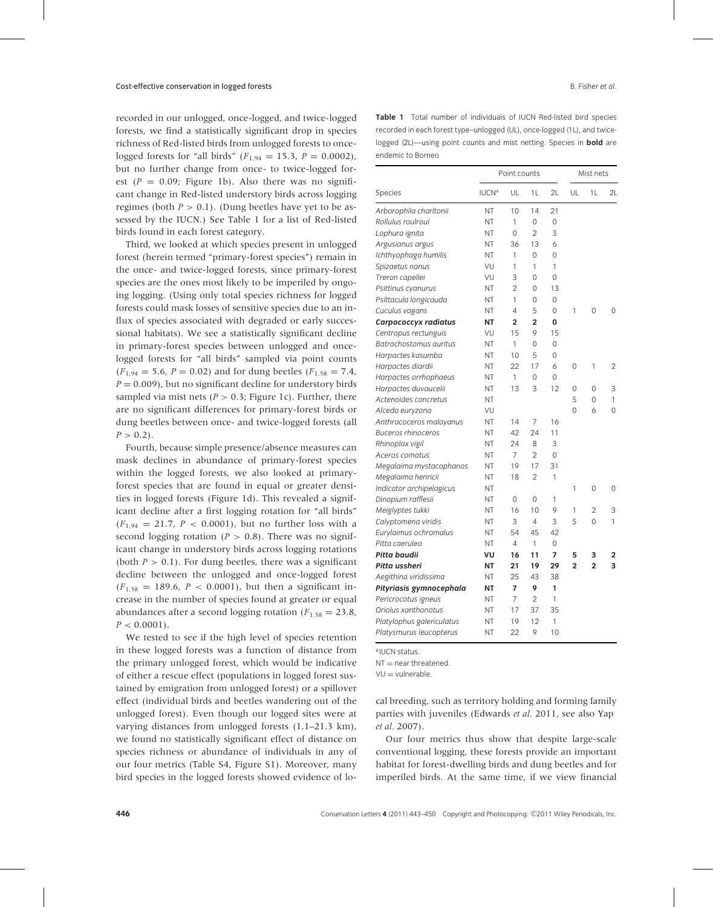recorded in our unlogged, once-logged, and twice-logged forests, we find a statistically significant drop in species richness of Red-listed birds from unlogged forests to oncelogged forests for "all birds" ( $F_{1,94} = 15.3$ ,  $P = 0.0002$ ), but no further change from once- to twice-logged forest  $(P = 0.09)$ ; Figure 1b). Also there was no significant change in Red-listed understory birds across logging regimes (both  $P > 0.1$ ). (Dung beetles have yet to be assessed by the IUCN.) See Table 1 for a list of Red-listed birds found in each forest category.

Third, we looked at which species present in unlogged forest (herein termed "primary-forest species") remain in the once- and twice-logged forests, since primary-forest species are the ones most likely to be imperiled by ongoing logging. (Using only total species richness for logged forests could mask losses of sensitive species due to an influx of species associated with degraded or early successional habitats). We see a statistically significant decline in primary-forest species between unlogged and oncelogged forests for "all birds" sampled via point counts  $(F_{1,94} = 5.6, P = 0.02)$  and for dung beetles  $(F_{1,58} = 7.4,$  $P = 0.009$ , but no significant decline for understory birds sampled via mist nets ( $P > 0.3$ ; Figure 1c). Further, there are no significant differences for primary-forest birds or dung beetles between once- and twice-logged forests (all  $P > 0.2$ ).

Fourth, because simple presence/absence measures can mask declines in abundance of primary-forest species within the logged forests, we also looked at primaryforest species that are found in equal or greater densities in logged forests (Figure 1d). This revealed a significant decline after a first logging rotation for "all birds"  $(F_{1,94} = 21.7, P < 0.0001)$ , but no further loss with a second logging rotation ( $P > 0.8$ ). There was no significant change in understory birds across logging rotations (both  $P > 0.1$ ). For dung beetles, there was a significant decline between the unlogged and once-logged forest  $(F_{1.58} = 189.6, P < 0.0001)$ , but then a significant increase in the number of species found at greater or equal abundances after a second logging rotation ( $F_{1,58} = 23.8$ ,  $P < 0.0001$ ).

We tested to see if the high level of species retention in these logged forests was a function of distance from the primary unlogged forest, which would be indicative of either a rescue effect (populations in logged forest sustained by emigration from unlogged forest) or a spillover effect (individual birds and beetles wandering out of the unlogged forest). Even though our logged sites were at varying distances from unlogged forests (1.1–21.3 km), we found no statistically significant effect of distance on species richness or abundance of individuals in any of our four metrics (Table S4, Figure S1). Moreover, many bird species in the logged forests showed evidence of lo-

**Table 1** Total number of individuals of IUCN Red-listed bird species recorded in each forest type–unlogged (UL), once-logged (1L), and twicelogged (2L)—using point counts and mist netting. Species in **bold** are endemic to Borneo

| Species                   | Point counts      |                |                |          | Mist nets      |                |                |
|---------------------------|-------------------|----------------|----------------|----------|----------------|----------------|----------------|
|                           | IUCN <sup>a</sup> | UL             | 1L             | 2L       | UL             | 1L             | 2L             |
| Arborophila charltonii    | <b>NT</b>         | 10             | 14             | 21       |                |                |                |
| Rollulus roulroul         | <b>NT</b>         | 1              | $\Omega$       | 0        |                |                |                |
| Lophura ignita            | <b>NT</b>         | 0              | $\overline{2}$ | 3        |                |                |                |
| Argusianus argus          | <b>NT</b>         | 36             | 13             | 6        |                |                |                |
| Ichthyophaga humilis      | <b>NT</b>         | 1              | 0              | $\Omega$ |                |                |                |
| Spizaetus nanus           | VU                | 1              | 1              | 1        |                |                |                |
| Treron capellei           | VU                | 3              | 0              | 0        |                |                |                |
| Psittinus cyanurus        | <b>NT</b>         | $\overline{2}$ | $\Omega$       | 13       |                |                |                |
| Psittacula longicauda     | <b>NT</b>         | 1              | $\Omega$       | $\Omega$ |                |                |                |
| Cuculus vagans            | <b>NT</b>         | $\overline{4}$ | 5              | $\Omega$ | 1              | $\Omega$       | $\Omega$       |
| Carpococcyx radiatus      | <b>NT</b>         | $\overline{2}$ | $\overline{2}$ | 0        |                |                |                |
| Centropus rectunguis      | VU                | 15             | 9              | 15       |                |                |                |
| Batrachostomus auritus    | <b>NT</b>         | 1              | 0              | 0        |                |                |                |
| Harpactes kasumba         | <b>NT</b>         | 10             | 5              | $\Omega$ |                |                |                |
| Harpactes diardii         | <b>NT</b>         | 22             | 17             | 6        | 0              | 1              | 2              |
| Harpactes orrhophaeus     | <b>NT</b>         | 1              | 0              | 0        |                |                |                |
| Harpactes duvaucelii      | <b>NT</b>         | 13             | 3              | 12       | 0              | 0              | 3              |
| Actenoides concretus      | <b>NT</b>         |                |                |          | 5              | 0              | 1              |
| Alcedo euryzona           | VU                |                |                |          | $\Omega$       | 6              | $\Omega$       |
| Anthracoceros malayanus   | <b>NT</b>         | 14             | 7              | 16       |                |                |                |
| <b>Buceros rhinoceros</b> | <b>NT</b>         | 42             | 24             | 11       |                |                |                |
| Rhinoplax vigil           | <b>NT</b>         | 24             | 8              | 3        |                |                |                |
| Aceros comatus            | <b>NT</b>         | 7              | $\overline{2}$ | 0        |                |                |                |
| Megalaima mystacophanos   | <b>NT</b>         | 19             | 17             | 31       |                |                |                |
| Megalaima henricii        | <b>NT</b>         | 18             | $\overline{2}$ | 1        |                |                |                |
| Indicator archipelagicus  | <b>NT</b>         |                |                |          | 1              | 0              | 0              |
| Dinopium rafflesii        | <b>NT</b>         | 0              | 0              | 1        |                |                |                |
| Meiglyptes tukki          | <b>NT</b>         | 16             | 10             | 9        | 1              | $\overline{2}$ | 3              |
| Calyptomena viridis       | NT                | 3              | 4              | 3        | 5              | $\Omega$       | 1              |
| Eurylaimus ochromalus     | <b>NT</b>         | 54             | 45             | 42       |                |                |                |
| Pitta caerulea            | <b>NT</b>         | 4              | 1              | $\Omega$ |                |                |                |
| Pitta baudii              | VU                | 16             | 11             | 7        | 5              | 3              | $\overline{2}$ |
| Pitta ussheri             | <b>NT</b>         | 21             | 19             | 29       | $\overline{2}$ | $\overline{2}$ | 3              |
| Aegithina viridissima     | <b>NT</b>         | 25             | 43             | 38       |                |                |                |
| Pityriasis gymnocephala   | NT                | 7              | 9              | 1        |                |                |                |
| Pericrocotus igneus       | <b>NT</b>         | 7              | $\overline{2}$ | 1        |                |                |                |
| Oriolus xanthonotus       | <b>NT</b>         | 17             | 37             | 35       |                |                |                |
| Platylophus galericulatus | NT                | 19             | 12             | 1        |                |                |                |
| Platysmurus leucopterus   | NT                | 22             | 9              | 10       |                |                |                |

all ICN status.

 $NT =$  near threatened.

 $VU = v$ ulnerable.

cal breeding, such as territory holding and forming family parties with juveniles (Edwards *et al.* 2011, see also Yap *et al.* 2007).

Our four metrics thus show that despite large-scale conventional logging, these forests provide an important habitat for forest-dwelling birds and dung beetles and for imperiled birds. At the same time, if we view financial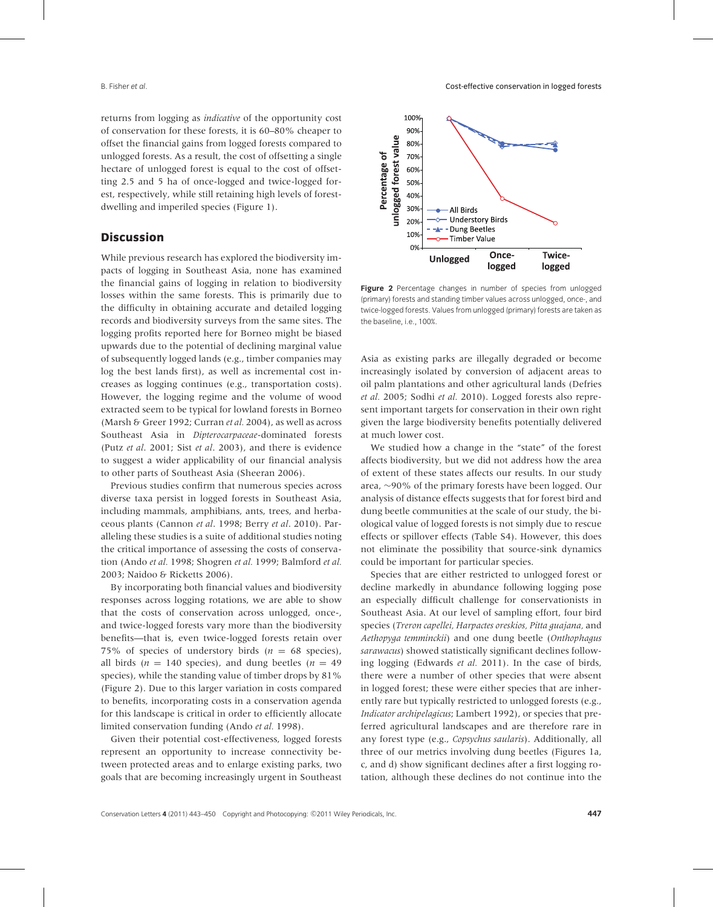returns from logging as *indicative* of the opportunity cost of conservation for these forests, it is 60–80% cheaper to offset the financial gains from logged forests compared to unlogged forests. As a result, the cost of offsetting a single hectare of unlogged forest is equal to the cost of offsetting 2.5 and 5 ha of once-logged and twice-logged forest, respectively, while still retaining high levels of forestdwelling and imperiled species (Figure 1).

#### **Discussion**

While previous research has explored the biodiversity impacts of logging in Southeast Asia, none has examined the financial gains of logging in relation to biodiversity losses within the same forests. This is primarily due to the difficulty in obtaining accurate and detailed logging records and biodiversity surveys from the same sites. The logging profits reported here for Borneo might be biased upwards due to the potential of declining marginal value of subsequently logged lands (e.g., timber companies may log the best lands first), as well as incremental cost increases as logging continues (e.g., transportation costs). However, the logging regime and the volume of wood extracted seem to be typical for lowland forests in Borneo (Marsh & Greer 1992; Curran *et al.* 2004), as well as across Southeast Asia in *Dipterocarpaceae*-dominated forests (Putz *et al*. 2001; Sist *et al*. 2003), and there is evidence to suggest a wider applicability of our financial analysis to other parts of Southeast Asia (Sheeran 2006).

Previous studies confirm that numerous species across diverse taxa persist in logged forests in Southeast Asia, including mammals, amphibians, ants, trees, and herbaceous plants (Cannon *et al*. 1998; Berry *et al*. 2010). Paralleling these studies is a suite of additional studies noting the critical importance of assessing the costs of conservation (Ando *et al.* 1998; Shogren *et al.* 1999; Balmford *et al.* 2003; Naidoo & Ricketts 2006).

By incorporating both financial values and biodiversity responses across logging rotations, we are able to show that the costs of conservation across unlogged, once-, and twice-logged forests vary more than the biodiversity benefits—that is, even twice-logged forests retain over 75% of species of understory birds  $(n = 68 \text{ species})$ , all birds ( $n = 140$  species), and dung beetles ( $n = 49$ species), while the standing value of timber drops by 81% (Figure 2). Due to this larger variation in costs compared to benefits, incorporating costs in a conservation agenda for this landscape is critical in order to efficiently allocate limited conservation funding (Ando *et al.* 1998).

Given their potential cost-effectiveness, logged forests represent an opportunity to increase connectivity between protected areas and to enlarge existing parks, two goals that are becoming increasingly urgent in Southeast



**Figure 2** Percentage changes in number of species from unlogged (primary) forests and standing timber values across unlogged, once-, and twice-logged forests. Values from unlogged (primary) forests are taken as the baseline, i.e., 100%.

Asia as existing parks are illegally degraded or become increasingly isolated by conversion of adjacent areas to oil palm plantations and other agricultural lands (Defries *et al.* 2005; Sodhi *et al.* 2010). Logged forests also represent important targets for conservation in their own right given the large biodiversity benefits potentially delivered at much lower cost.

We studied how a change in the "state" of the forest affects biodiversity, but we did not address how the area of extent of these states affects our results. In our study area, ∼90% of the primary forests have been logged. Our analysis of distance effects suggests that for forest bird and dung beetle communities at the scale of our study, the biological value of logged forests is not simply due to rescue effects or spillover effects (Table S4). However, this does not eliminate the possibility that source-sink dynamics could be important for particular species.

Species that are either restricted to unlogged forest or decline markedly in abundance following logging pose an especially difficult challenge for conservationists in Southeast Asia. At our level of sampling effort, four bird species (*Treron capellei, Harpactes oreskios, Pitta guajana,* and *Aethopyga temminckii*) and one dung beetle (*Onthophagus sarawacus*) showed statistically significant declines following logging (Edwards *et al.* 2011). In the case of birds, there were a number of other species that were absent in logged forest; these were either species that are inherently rare but typically restricted to unlogged forests (e.g., *Indicator archipelagicus*; Lambert 1992), or species that preferred agricultural landscapes and are therefore rare in any forest type (e.g., *Copsychus saularis*). Additionally, all three of our metrics involving dung beetles (Figures 1a, c, and d) show significant declines after a first logging rotation, although these declines do not continue into the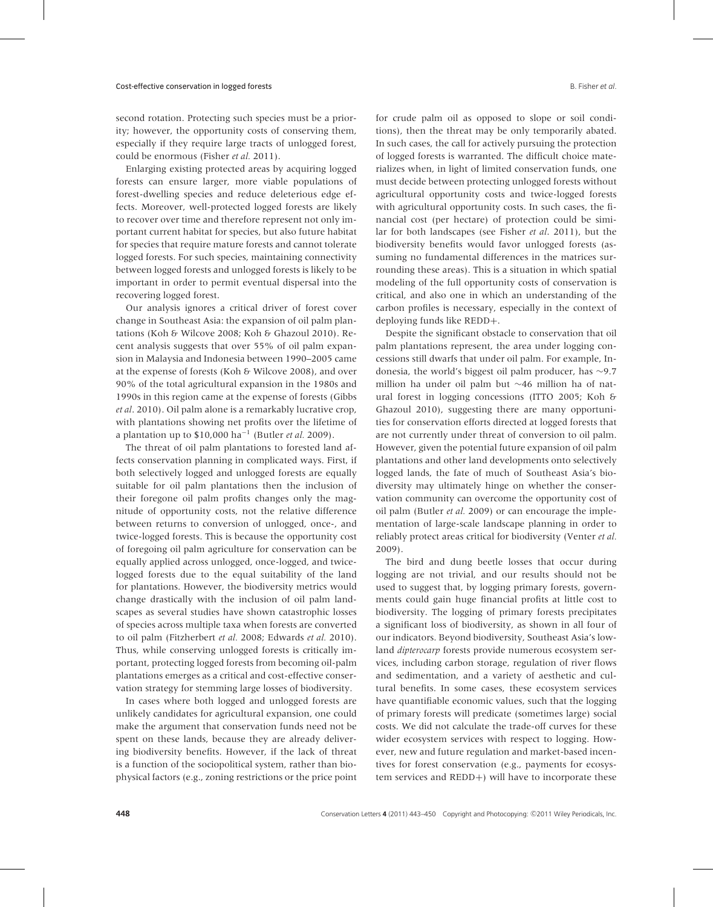second rotation. Protecting such species must be a priority; however, the opportunity costs of conserving them, especially if they require large tracts of unlogged forest, could be enormous (Fisher *et al.* 2011).

Enlarging existing protected areas by acquiring logged forests can ensure larger, more viable populations of forest-dwelling species and reduce deleterious edge effects. Moreover, well-protected logged forests are likely to recover over time and therefore represent not only important current habitat for species, but also future habitat for species that require mature forests and cannot tolerate logged forests. For such species, maintaining connectivity between logged forests and unlogged forests is likely to be important in order to permit eventual dispersal into the recovering logged forest.

Our analysis ignores a critical driver of forest cover change in Southeast Asia: the expansion of oil palm plantations (Koh & Wilcove 2008; Koh & Ghazoul 2010). Recent analysis suggests that over 55% of oil palm expansion in Malaysia and Indonesia between 1990–2005 came at the expense of forests (Koh & Wilcove 2008), and over 90% of the total agricultural expansion in the 1980s and 1990s in this region came at the expense of forests (Gibbs *et al*. 2010). Oil palm alone is a remarkably lucrative crop, with plantations showing net profits over the lifetime of a plantation up to \$10,000 ha−<sup>1</sup> (Butler *et al.* 2009).

The threat of oil palm plantations to forested land affects conservation planning in complicated ways. First, if both selectively logged and unlogged forests are equally suitable for oil palm plantations then the inclusion of their foregone oil palm profits changes only the magnitude of opportunity costs, not the relative difference between returns to conversion of unlogged, once-, and twice-logged forests. This is because the opportunity cost of foregoing oil palm agriculture for conservation can be equally applied across unlogged, once-logged, and twicelogged forests due to the equal suitability of the land for plantations. However, the biodiversity metrics would change drastically with the inclusion of oil palm landscapes as several studies have shown catastrophic losses of species across multiple taxa when forests are converted to oil palm (Fitzherbert *et al.* 2008; Edwards *et al.* 2010). Thus, while conserving unlogged forests is critically important, protecting logged forests from becoming oil-palm plantations emerges as a critical and cost-effective conservation strategy for stemming large losses of biodiversity.

In cases where both logged and unlogged forests are unlikely candidates for agricultural expansion, one could make the argument that conservation funds need not be spent on these lands, because they are already delivering biodiversity benefits. However, if the lack of threat is a function of the sociopolitical system, rather than biophysical factors (e.g., zoning restrictions or the price point

for crude palm oil as opposed to slope or soil conditions), then the threat may be only temporarily abated. In such cases, the call for actively pursuing the protection of logged forests is warranted. The difficult choice materializes when, in light of limited conservation funds, one must decide between protecting unlogged forests without agricultural opportunity costs and twice-logged forests with agricultural opportunity costs. In such cases, the financial cost (per hectare) of protection could be similar for both landscapes (see Fisher *et al*. 2011), but the biodiversity benefits would favor unlogged forests (assuming no fundamental differences in the matrices surrounding these areas). This is a situation in which spatial modeling of the full opportunity costs of conservation is critical, and also one in which an understanding of the carbon profiles is necessary, especially in the context of deploying funds like REDD+.

Despite the significant obstacle to conservation that oil palm plantations represent, the area under logging concessions still dwarfs that under oil palm. For example, Indonesia, the world's biggest oil palm producer, has ∼9.7 million ha under oil palm but ∼46 million ha of natural forest in logging concessions (ITTO 2005; Koh & Ghazoul 2010), suggesting there are many opportunities for conservation efforts directed at logged forests that are not currently under threat of conversion to oil palm. However, given the potential future expansion of oil palm plantations and other land developments onto selectively logged lands, the fate of much of Southeast Asia's biodiversity may ultimately hinge on whether the conservation community can overcome the opportunity cost of oil palm (Butler *et al.* 2009) or can encourage the implementation of large-scale landscape planning in order to reliably protect areas critical for biodiversity (Venter *et al.* 2009).

The bird and dung beetle losses that occur during logging are not trivial, and our results should not be used to suggest that, by logging primary forests, governments could gain huge financial profits at little cost to biodiversity. The logging of primary forests precipitates a significant loss of biodiversity, as shown in all four of our indicators. Beyond biodiversity, Southeast Asia's lowland *dipterocarp* forests provide numerous ecosystem services, including carbon storage, regulation of river flows and sedimentation, and a variety of aesthetic and cultural benefits. In some cases, these ecosystem services have quantifiable economic values, such that the logging of primary forests will predicate (sometimes large) social costs. We did not calculate the trade-off curves for these wider ecosystem services with respect to logging. However, new and future regulation and market-based incentives for forest conservation (e.g., payments for ecosystem services and REDD+) will have to incorporate these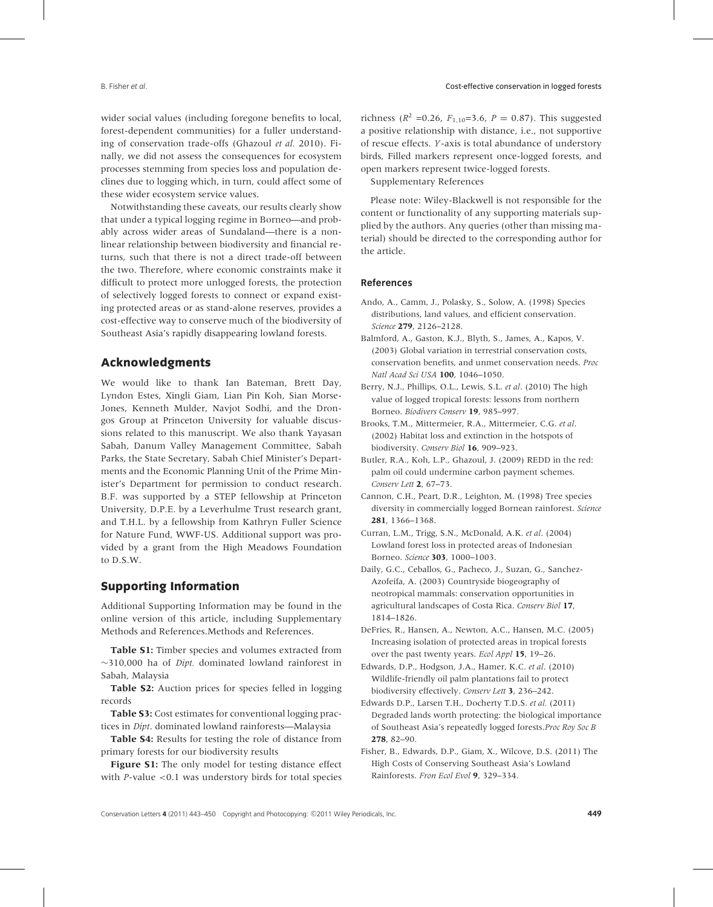wider social values (including foregone benefits to local, forest-dependent communities) for a fuller understanding of conservation trade-offs (Ghazoul *et al.* 2010). Finally, we did not assess the consequences for ecosystem processes stemming from species loss and population declines due to logging which, in turn, could affect some of these wider ecosystem service values.

Notwithstanding these caveats, our results clearly show that under a typical logging regime in Borneo—and probably across wider areas of Sundaland—there is a nonlinear relationship between biodiversity and financial returns, such that there is not a direct trade-off between the two. Therefore, where economic constraints make it difficult to protect more unlogged forests, the protection of selectively logged forests to connect or expand existing protected areas or as stand-alone reserves, provides a cost-effective way to conserve much of the biodiversity of Southeast Asia's rapidly disappearing lowland forests.

#### **Acknowledgments**

We would like to thank Ian Bateman, Brett Day, Lyndon Estes, Xingli Giam, Lian Pin Koh, Sian Morse-Jones, Kenneth Mulder, Navjot Sodhi, and the Drongos Group at Princeton University for valuable discussions related to this manuscript. We also thank Yayasan Sabah, Danum Valley Management Committee, Sabah Parks, the State Secretary, Sabah Chief Minister's Departments and the Economic Planning Unit of the Prime Minister's Department for permission to conduct research. B.F. was supported by a STEP fellowship at Princeton University, D.P.E. by a Leverhulme Trust research grant, and T.H.L. by a fellowship from Kathryn Fuller Science for Nature Fund, WWF-US. Additional support was provided by a grant from the High Meadows Foundation to D.S.W.

#### **Supporting Information**

Additional Supporting Information may be found in the online version of this article, including Supplementary Methods and References.Methods and References.

**Table S1:** Timber species and volumes extracted from ∼310,000 ha of *Dipt.* dominated lowland rainforest in Sabah, Malaysia

**Table S2:** Auction prices for species felled in logging records

**Table S3:** Cost estimates for conventional logging practices in *Dipt*. dominated lowland rainforests—Malaysia

**Table S4:** Results for testing the role of distance from primary forests for our biodiversity results

Figure S1: The only model for testing distance effect with *P*-value <0.1 was understory birds for total species richness ( $R^2$  =0.26,  $F_{1,10}$ =3.6,  $P = 0.87$ ). This suggested a positive relationship with distance, i.e., not supportive of rescue effects. *Y*-axis is total abundance of understory birds, Filled markers represent once-logged forests, and open markers represent twice-logged forests.

Supplementary References

Please note: Wiley-Blackwell is not responsible for the content or functionality of any supporting materials supplied by the authors. Any queries (other than missing material) should be directed to the corresponding author for the article.

#### **References**

- Ando, A., Camm, J., Polasky, S., Solow, A. (1998) Species distributions, land values, and efficient conservation. *Science* **279**, 2126–2128.
- Balmford, A., Gaston, K.J., Blyth, S., James, A., Kapos, V. (2003) Global variation in terrestrial conservation costs, conservation benefits, and unmet conservation needs. *Proc Natl Acad Sci USA* **100**, 1046–1050.
- Berry, N.J., Phillips, O.L., Lewis, S.L. *et al*. (2010) The high value of logged tropical forests: lessons from northern Borneo. *Biodivers Conserv* **19**, 985–997.
- Brooks, T.M., Mittermeier, R.A., Mittermeier, C.G. *et al*. (2002) Habitat loss and extinction in the hotspots of biodiversity. *Conserv Biol* **16**, 909–923.
- Butler, R.A., Koh, L.P., Ghazoul, J. (2009) REDD in the red: palm oil could undermine carbon payment schemes. *Conserv Lett* **2**, 67–73.
- Cannon, C.H., Peart, D.R., Leighton, M. (1998) Tree species diversity in commercially logged Bornean rainforest. *Science* **281**, 1366–1368.
- Curran, L.M., Trigg, S.N., McDonald, A.K. *et al*. (2004) Lowland forest loss in protected areas of Indonesian Borneo. *Science* **303**, 1000–1003.
- Daily, G.C., Ceballos, G., Pacheco, J., Suzan, G., Sanchez-Azofeifa, A. (2003) Countryside biogeography of neotropical mammals: conservation opportunities in agricultural landscapes of Costa Rica. *Conserv Biol* **17**, 1814–1826.

DeFries, R., Hansen, A., Newton, A.C., Hansen, M.C. (2005) Increasing isolation of protected areas in tropical forests over the past twenty years. *Ecol Appl* **15**, 19–26.

Edwards, D.P., Hodgson, J.A., Hamer, K.C. *et al*. (2010) Wildlife-friendly oil palm plantations fail to protect biodiversity effectively. *Conserv Lett* **3**, 236–242.

Edwards D.P., Larsen T.H., Docherty T.D.S. *et al.* (2011) Degraded lands worth protecting: the biological importance of Southeast Asia's repeatedly logged forests.*Proc Roy Soc B* **278**, 82–90.

Fisher, B., Edwards, D.P., Giam, X., Wilcove, D.S. (2011) The High Costs of Conserving Southeast Asia's Lowland Rainforests. *Fron Ecol Evol* **9**, 329–334.